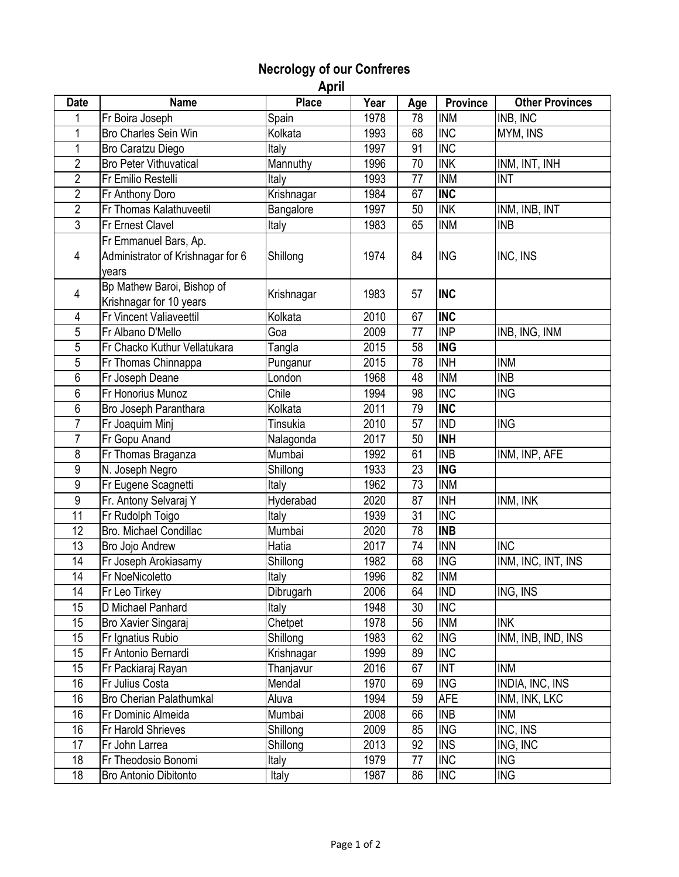## **Necrology of our Confreres**

 **April** 

| <b>Date</b>    | <b>Name</b>                       | <b>Place</b>    | Year | Age | Province                 | <b>Other Provinces</b> |
|----------------|-----------------------------------|-----------------|------|-----|--------------------------|------------------------|
|                | Fr Boira Joseph                   | Spain           | 1978 | 78  | <b>INM</b>               | INB, INC               |
| 1              | Bro Charles Sein Win              | Kolkata         | 1993 | 68  | <b>INC</b>               | MYM, INS               |
| 1              | Bro Caratzu Diego                 | Italy           | 1997 | 91  | <b>INC</b>               |                        |
| $\overline{2}$ | <b>Bro Peter Vithuvatical</b>     | Mannuthy        | 1996 | 70  | <b>INK</b>               | INM, INT, INH          |
| $\overline{2}$ | Fr Emilio Restelli                | Italy           | 1993 | 77  | <b>INM</b>               | <b>INT</b>             |
| $\overline{2}$ | Fr Anthony Doro                   | Krishnagar      | 1984 | 67  | <b>INC</b>               |                        |
| $\overline{2}$ | Fr Thomas Kalathuveetil           | Bangalore       | 1997 | 50  | <b>INK</b>               | INM, INB, INT          |
| $\overline{3}$ | Fr Ernest Clavel                  | Italy           | 1983 | 65  | <b>INM</b>               | <b>INB</b>             |
|                | Fr Emmanuel Bars, Ap.             |                 |      |     |                          |                        |
| 4              | Administrator of Krishnagar for 6 | Shillong        | 1974 | 84  | <b>ING</b>               | INC, INS               |
|                | years                             |                 |      |     |                          |                        |
| 4              | Bp Mathew Baroi, Bishop of        | Krishnagar      | 1983 | 57  | <b>INC</b>               |                        |
|                | Krishnagar for 10 years           |                 |      |     |                          |                        |
| 4              | Fr Vincent Valiaveettil           | Kolkata         | 2010 | 67  | <b>INC</b>               |                        |
| 5              | Fr Albano D'Mello                 | Goa             | 2009 | 77  | $\overline{\mathsf{NP}}$ | INB, ING, INM          |
| 5              | Fr Chacko Kuthur Vellatukara      | Tangla          | 2015 | 58  | <b>ING</b>               |                        |
| 5              | Fr Thomas Chinnappa               | Punganur        | 2015 | 78  | <b>INH</b>               | <b>INM</b>             |
| 6              | Fr Joseph Deane                   | London          | 1968 | 48  | <b>INM</b>               | <b>INB</b>             |
| 6              | Fr Honorius Munoz                 | Chile           | 1994 | 98  | <b>INC</b>               | <b>ING</b>             |
| 6              | Bro Joseph Paranthara             | Kolkata         | 2011 | 79  | <b>INC</b>               |                        |
| $\overline{7}$ | Fr Joaquim Minj                   | <b>Tinsukia</b> | 2010 | 57  | <b>IND</b>               | <b>ING</b>             |
| $\overline{7}$ | Fr Gopu Anand                     | Nalagonda       | 2017 | 50  | <b>INH</b>               |                        |
| 8              | Fr Thomas Braganza                | Mumbai          | 1992 | 61  | <b>INB</b>               | INM, INP, AFE          |
| 9              | N. Joseph Negro                   | Shillong        | 1933 | 23  | <b>ING</b>               |                        |
| 9              | Fr Eugene Scagnetti               | Italy           | 1962 | 73  | <b>INM</b>               |                        |
| 9              | Fr. Antony Selvaraj Y             | Hyderabad       | 2020 | 87  | <b>INH</b>               | INM, INK               |
| 11             | Fr Rudolph Toigo                  | Italy           | 1939 | 31  | <b>INC</b>               |                        |
| 12             | Bro. Michael Condillac            | Mumbai          | 2020 | 78  | <b>INB</b>               |                        |
| 13             | Bro Jojo Andrew                   | Hatia           | 2017 | 74  | <b>INN</b>               | <b>INC</b>             |
| 14             | Fr Joseph Arokiasamy              | Shillong        | 1982 | 68  | <b>ING</b>               | INM, INC, INT, INS     |
| 14             | Fr NoeNicoletto                   | Italy           | 1996 | 82  | <b>INM</b>               |                        |
| 14             | Fr Leo Tirkey                     | Dibrugarh       | 2006 | 64  | <b>IND</b>               | ING, INS               |
| 15             | D Michael Panhard                 | Italy           | 1948 | 30  | <b>INC</b>               |                        |
| 15             | Bro Xavier Singaraj               | Chetpet         | 1978 | 56  | <b>INM</b>               | <b>INK</b>             |
| 15             | Fr Ignatius Rubio                 | Shillong        | 1983 | 62  | <b>ING</b>               | INM, INB, IND, INS     |
| 15             | Fr Antonio Bernardi               | Krishnagar      | 1999 | 89  | <b>INC</b>               |                        |
| 15             | Fr Packiaraj Rayan                | Thanjavur       | 2016 | 67  | <b>INT</b>               | <b>INM</b>             |
| 16             | Fr Julius Costa                   | Mendal          | 1970 | 69  | <b>ING</b>               | INDIA, INC, INS        |
| 16             | <b>Bro Cherian Palathumkal</b>    | Aluva           | 1994 | 59  | <b>AFE</b>               | INM, INK, LKC          |
| 16             | Fr Dominic Almeida                | Mumbai          | 2008 | 66  | <b>INB</b>               | <b>INM</b>             |
| 16             | Fr Harold Shrieves                | Shillong        | 2009 | 85  | <b>ING</b>               | INC, INS               |
| 17             | Fr John Larrea                    | Shillong        | 2013 | 92  | <b>INS</b>               | ING, INC               |
| 18             | Fr Theodosio Bonomi               | Italy           | 1979 | 77  | <b>INC</b>               | <b>ING</b>             |
| 18             | <b>Bro Antonio Dibitonto</b>      | Italy           | 1987 | 86  | <b>INC</b>               | <b>ING</b>             |